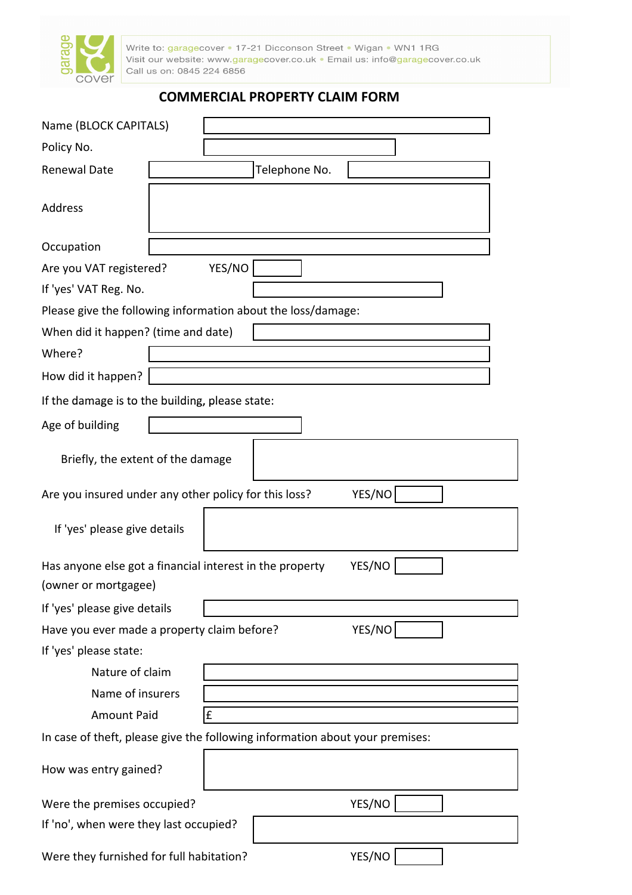

Write to: garagecover • 17-21 Dicconson Street • Wigan • WN1 1RG<br>Visit our website: www.garagecover.co.uk • Email us: info@garagecover.co.uk Call us on: 0845 224 6856

# COMMERCIAL PROPERTY CLAIM FORM

| Name (BLOCK CAPITALS)                                                                      |                  |   |  |        |  |  |  |
|--------------------------------------------------------------------------------------------|------------------|---|--|--------|--|--|--|
| Policy No.                                                                                 |                  |   |  |        |  |  |  |
| <b>Renewal Date</b>                                                                        | Telephone No.    |   |  |        |  |  |  |
| Address                                                                                    |                  |   |  |        |  |  |  |
| Occupation                                                                                 |                  |   |  |        |  |  |  |
| YES/NO<br>Are you VAT registered?                                                          |                  |   |  |        |  |  |  |
| If 'yes' VAT Reg. No.                                                                      |                  |   |  |        |  |  |  |
| Please give the following information about the loss/damage:                               |                  |   |  |        |  |  |  |
| When did it happen? (time and date)                                                        |                  |   |  |        |  |  |  |
| Where?                                                                                     |                  |   |  |        |  |  |  |
| How did it happen?                                                                         |                  |   |  |        |  |  |  |
| If the damage is to the building, please state:                                            |                  |   |  |        |  |  |  |
| Age of building                                                                            |                  |   |  |        |  |  |  |
| Briefly, the extent of the damage                                                          |                  |   |  |        |  |  |  |
| Are you insured under any other policy for this loss?                                      |                  |   |  | YES/NO |  |  |  |
| If 'yes' please give details                                                               |                  |   |  |        |  |  |  |
| YES/NO<br>Has anyone else got a financial interest in the property<br>(owner or mortgagee) |                  |   |  |        |  |  |  |
| If 'yes' please give details                                                               |                  |   |  |        |  |  |  |
| YES/NO<br>Have you ever made a property claim before?                                      |                  |   |  |        |  |  |  |
| If 'yes' please state:                                                                     |                  |   |  |        |  |  |  |
| Nature of claim                                                                            |                  |   |  |        |  |  |  |
|                                                                                            | Name of insurers |   |  |        |  |  |  |
| <b>Amount Paid</b>                                                                         |                  | £ |  |        |  |  |  |
| In case of theft, please give the following information about your premises:               |                  |   |  |        |  |  |  |
| How was entry gained?                                                                      |                  |   |  |        |  |  |  |
| Were the premises occupied?                                                                |                  |   |  | YES/NO |  |  |  |
| If 'no', when were they last occupied?                                                     |                  |   |  |        |  |  |  |
| Were they furnished for full habitation?                                                   |                  |   |  | YES/NO |  |  |  |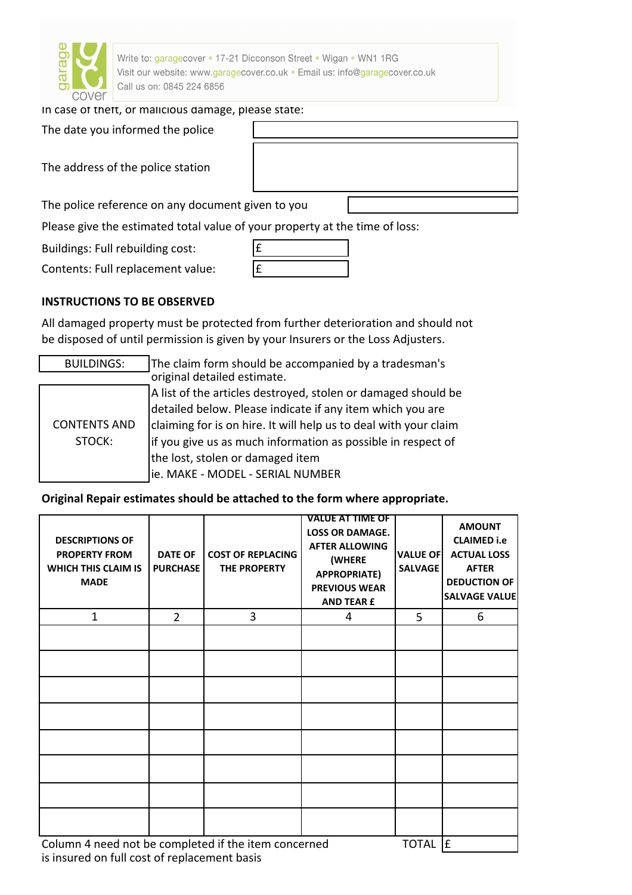

Write to: garagecover . 17-21 Dicconson Street . Wigan . WN1 1RG Visit our website: www.garagecover.co.uk · Email us: info@garagecover.co.uk Call us on: 0845 224 6856

### In case of theft, or malicious damage, please state:

The date you informed the police

The address of the police station

The police reference on any document given to you

Please give the estimated total value of your property at the time of loss:

Buildings: Full rebuilding cost:

Contents: Full replacement value:

## INSTRUCTIONS TO BE OBSERVED

All damaged property must be protected from further deterioration and should not be disposed of until permission is given by your Insurers or the Loss Adjusters.

| <b>BUILDINGS:</b>             | The claim form should be accompanied by a tradesman's            |  |  |  |  |  |
|-------------------------------|------------------------------------------------------------------|--|--|--|--|--|
| original detailed estimate.   |                                                                  |  |  |  |  |  |
| <b>CONTENTS AND</b><br>STOCK: | A list of the articles destroyed, stolen or damaged should be    |  |  |  |  |  |
|                               | detailed below. Please indicate if any item which you are        |  |  |  |  |  |
|                               | claiming for is on hire. It will help us to deal with your claim |  |  |  |  |  |
|                               | if you give us as much information as possible in respect of     |  |  |  |  |  |
|                               | the lost, stolen or damaged item                                 |  |  |  |  |  |
|                               | ie. MAKE - MODEL - SERIAL NUMBER                                 |  |  |  |  |  |

### Original Repair estimates should be attached to the form where appropriate.

| <b>DESCRIPTIONS OF</b><br><b>PROPERTY FROM</b><br>WHICH THIS CLAIM IS<br><b>MADE</b> | <b>DATE OF</b><br><b>PURCHASE</b> | <b>COST OF REPLACING</b><br>THE PROPERTY | <b>VALUE AT TIME OF</b><br><b>LOSS OR DAMAGE.</b><br><b>AFTER ALLOWING</b><br>(WHERE<br><b>APPROPRIATE)</b><br><b>PREVIOUS WEAR</b><br><b>AND TEAR £</b> | <b>VALUE OF</b><br><b>SALVAGE</b> | <b>AMOUNT</b><br><b>CLAIMED i.e</b><br><b>ACTUAL LOSS</b><br><b>AFTER</b><br><b>DEDUCTION OF</b><br><b>SALVAGE VALUE</b> |
|--------------------------------------------------------------------------------------|-----------------------------------|------------------------------------------|----------------------------------------------------------------------------------------------------------------------------------------------------------|-----------------------------------|--------------------------------------------------------------------------------------------------------------------------|
| $\mathbf{1}$                                                                         | $\overline{2}$                    | 3                                        | 4                                                                                                                                                        | 5                                 | 6                                                                                                                        |
|                                                                                      |                                   |                                          |                                                                                                                                                          |                                   |                                                                                                                          |
|                                                                                      |                                   |                                          |                                                                                                                                                          |                                   |                                                                                                                          |
|                                                                                      |                                   |                                          |                                                                                                                                                          |                                   |                                                                                                                          |
|                                                                                      |                                   |                                          |                                                                                                                                                          |                                   |                                                                                                                          |
|                                                                                      |                                   |                                          |                                                                                                                                                          |                                   |                                                                                                                          |
|                                                                                      |                                   |                                          |                                                                                                                                                          |                                   |                                                                                                                          |
|                                                                                      |                                   |                                          |                                                                                                                                                          |                                   |                                                                                                                          |
|                                                                                      |                                   |                                          |                                                                                                                                                          |                                   |                                                                                                                          |
| Column 4 need not be completed if the item concerned                                 | <b>TOTAL</b>                      | Ι£                                       |                                                                                                                                                          |                                   |                                                                                                                          |